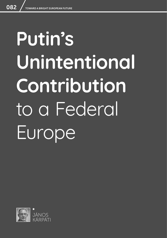# **Putin's Unintentional Contribution**  to a Federal Europe

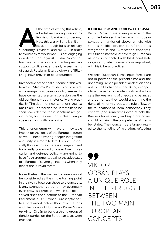**At the time of writing this article,**<br>
a brutal military aggression by<br>
Russia on Ukraine is underway.<br>
How this war will end is still un-<br>
clear, although Russian military<br>
superiority is evident, and NATO – in order a brutal military aggression by Russia on Ukraine is underway. How this war will end is still unclear, although Russian military to avoid a third world war – is not engaging in a direct fight against Russia. Nevertheless, Western nations are granting military support to Ukraine, and early assessments of a quick Russian military victory in a "Blitzkrieg" have proven to be unfounded.

Irrespective of the final outcome of this war, however, Vladimir Putin's decision to attack a sovereign European country seems to have cemented Western cohesion on the old continent – both rhetorically and practically. The depth of new sanctions against Russia are unprecedented. It remains to be seen how effective these sanctions are going to be, but the direction is clear: Europe speaks almost with one voice.

This phenomenon will have an inevitable impact on the ideas of the European future as well. Those favoring deeper integration and unity in a more federal Europe – especially those who say there is an urgent need for a really common European foreign, security, and defense policy – are going to have fresh arguments against the advocates of a Europe of sovereign nations when they hint at the Russian threat.

Nevertheless, the war in Ukraine cannot be considered as the single turning point in the rivalry between these two concepts: it only strengthens a trend – or eventually even crowns a process – which can be observed since the elections to the European Parliament in 2019, when Eurosceptic parties performed below their expectations and the hopes of Hungarian Prime Minister Viktor Orbán to build a strong group of rightist parties on the European level were crushed.

## ILLIBERALISM AND EUROSCEPTICISM

Viktor Orbán plays a unique role in the struggle between the two main European concepts mentioned above, which, with some simplification, can be referred to as *integrationist* and *Eurosceptic* concepts. PM Orbán's narrative of sovereign European nations is connected with his illiberal state slogan and, what is even more important, with his illiberal practices.

Western European Eurosceptic forces are not in power at the present time and the upcoming French presidential election does not foretell a change either. Being in opposition, these forces evidently do not advocate the weakening of checks and balances and do not say they would undermine the rights of minority groups, the rule of law, or the foundations of liberal democracy. They criticize (and sometimes even attack) the Brussels bureaucracy and say more power should remain in the competence of member states. Their concerns are largely related to the handling of migration, reflecting

99 VIKTOR ORBÁN PLAYS A UNIQUE ROLE IN THE STRUGGLE BETWEEN THE TWO MAIN EUROPEAN CONCEPTS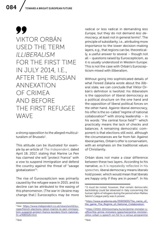## 99 VIKTOR ORBÁN USED THE TERM *ILLIBERALISM* FOR THE FIRST TIME IN JULY 2014, I.E., AFTER THE RUSSIAN ANNEXATION OF CRIMEA AND BEFORE THE FIRST REFUGEE WAVE

a strong opposition to the alleged multiculturalism of Brussels<sup>1</sup>.

This attitude can be illustrated for example by an article of *The Independent*, dated April 18, 2017, stating that Marine Le Pen has claimed she will "protect France" with a vow to suspend immigration and defend the country against the threat of "savage globalization"2.

The rise of Euroscepticism was primarily caused by the refugee wave in 2015, and its decline can be attributed to the easing of this phenomenon. (The war in Ukraine may change that.) Eurosceptics may be more

radical or less radical in demanding *less Europe*, but they do not demand *less democracy*, at least not in general terms<sup>3</sup>. The principle of subsidiarity, i.e., attributing more importance to the lower decision-making layers, e.g., that regions can be, theoretically, a useful answer to several – though not all – questions raised by Euroscepticism, as it is usually understood in Western Europe. This is not the case with Orbán's Euroscepticism mixed with illiberalism.

Without going into sophisticated details of what Fereed Zakaria wrote about the illiberal state, we can conclude that Viktor Orbán's definition is twofold: his illiberalism is the opposition of liberal democracy as a political structure on the one hand and the opposition of liberal political forces on the other hand. Against liberal democracy, his offer is the so-called "regime of national collaboration<sup>"4</sup> with strong leadership – in his words: "the central force field"<sup>5 -</sup> which practically means the lack of checks and balances. A remaining democratic component is that elections still exist, although the circumstances are far from fair. Against liberal parties, Orbán's offer is conservatism, with an emphasis on the traditional values of Christianity.

Orbán does not make a clear difference between these two layers. According to his narrative, as it is repeatedly reflected in his speeches, liberal democracy means liberals hold power, which would mean that liberals are happy only if they are in power<sup>6</sup>. In his

<sup>1</sup> See: [https://www.independent.co.uk/news/world/eu](https://www.independent.co.uk/news/world/europe/french-elections-latest-marine-le-pen-immigration-suspend-protect-france-borders-front-national-fn-a7689326.html)[rope/french-elections-latest-marine-le-pen-immigra](https://www.independent.co.uk/news/world/europe/french-elections-latest-marine-le-pen-immigration-suspend-protect-france-borders-front-national-fn-a7689326.html)[tion-suspend-protect-france-borders-front-national](https://www.independent.co.uk/news/world/europe/french-elections-latest-marine-le-pen-immigration-suspend-protect-france-borders-front-national-fn-a7689326.html)[fn-a7689326.html](https://www.independent.co.uk/news/world/europe/french-elections-latest-marine-le-pen-immigration-suspend-protect-france-borders-front-national-fn-a7689326.html)

<sup>&</sup>lt;sup>3</sup> It must be noted, however, that certain democratic backsliding could be observed in Italy concerning the human rights of refugees during the period when Matteo Salvini's League party was in power.

<sup>4</sup> [https://www.academia.edu/35905650/The\\_name\\_of\\_](https://www.academia.edu/35905650/The_name_of_the_game_The_Regime_of_National_Collaboration ) the game The Regime of National Collaboration

<sup>5</sup> [https://2010-2014.kormany.hu/en/prime-minister-s](https://2010-2014.kormany.hu/en/prime-minister-s-office/the-prime-ministers-speeches/prime-minister-viktor-orban-s-speech-on-hir-tv-s-versus-programme  )[office/the-prime-ministers-speeches/prime-minister](https://2010-2014.kormany.hu/en/prime-minister-s-office/the-prime-ministers-speeches/prime-minister-viktor-orban-s-speech-on-hir-tv-s-versus-programme  )[viktor-orban-s-speech-on-hir-tv-s-versus-programme](https://2010-2014.kormany.hu/en/prime-minister-s-office/the-prime-ministers-speeches/prime-minister-viktor-orban-s-speech-on-hir-tv-s-versus-programme  )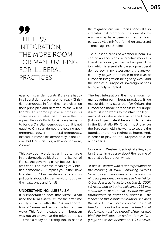085

# 99 THE LESS INTEGRATION, THE MORE ROOM FOR MANEUVERING FOR ILLIBERAL PRACTICES

eyes, Christian democrats, if they are happy in a liberal democracy, are not really Christian democrats; in fact, they have given up their principles and deferred to the will of liberals. This came up several times in his speeches after Fidesz had to leave the European People's Party. Orbán says he wants to build a Christian democracy, but it is not equal to Christian democrats holding governmental power in a liberal democracy. Instead, it means his democracy is not liberal, but Christian – or, with another word, *illiberal*.

This play upon words has an important role in the domestic political communication of Fidesz, the governing party, because it creates confusion over the meaning of 'Christian democracy'. It implies you either have liberalism or Christian democracy, and so politics is about who can be victorious over the rivals, once and for all.

## UNDERSTANDING ILLIBERLISM

It is important to note that Viktor Orbán used the term *illiberalism* for the first time in July 2014, i.e., after the Russian annexation of Crimea and before the first refugee wave. This fact indicates that illiberalism was not an answer to the migration crisis – it was already an existing tool to handle the migration crisis in Orbán's hands. It also indicates that promoting the idea of illiberalism may have been inspired, at least partly, by Vladimir Putin's – then successful – move against Ukraine.

The question arises of whether illiberalism can be an acceptable alternative model to liberal democracy within the European Union, which is essentially based upon liberal democracy. In my assessment, the answer can only be *yes* in the case of the level of European integration being very weak and the idea of a Europe of sovereign nations being widely accepted.

The less integration, the more room for maneuvering for illiberal practices. If we realize this, it is clear that for Orbán, the Eurosceptic model for the future of Europe is a must if he wants to maintain the legitimacy of his illiberal state within the Union. (I do not speculate if he wants to remain in the EU at all.) PM Orbán must play on the European field if he wants to secure the foundations of his regime at home. And, in order to play on the European field, he needs allies.

Concerning Western ideological allies, Zoltan Bretter in his essay about the regime of national collaboration writes:

*"It has all started with a reinterpretation of the meaning of 1968. Following Nicolas Sarkozy's campaign speech, as he was running for presidency in France in May, Viktor Orbán delivered his lecture on July 21, 2007. (…) According to both politicians, 1968 was a counter-revolution that "«shook the very foundations of traditional politics». The leaders of this counterrevolution declared that in order to achieve complete individual freedom the individual must be freed of all ties (…) one must free oneself of the ties that bind the individual to nation, family, language and sexual orientation. (…) However,*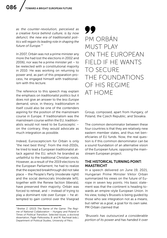*as the counter-revolution, perceived as a creative force behind culture, is by now defunct, the new era of traditionalist politics will regain its leading role in shaping the future of Europe."*<sup>7</sup>

In 2007, Orbán was not a prime minister any more (he had lost the elections in 2002 and 2006), nor was he a prime minister yet – to be reelected with a constitutional majority in 2010. He was working on returning to power and, as part of this preparation process, he engaged himself with traditionalism with this lecture.

The reference to this speech may explain the emphasis on *traditionalist politics* but it does not give an answer to the *less Europe*  demand, since, in theory, traditionalism in itself could also be one of the contenders aspiring for the position of the mainstream course in Europe. If traditionalism was the mainstream course within the EU, traditionalists would not need to be Eurosceptic – on the contrary, they would advocate as much integration as possible.

Indeed, Euroscepticism for Orbán is only "the next best thing". From the mid-2010s, he tried to lead a European traditionalist attack against the EU, which he branded as unfaithful to the traditional Christian roots. However, as a result of the 2019 elections to the European Parliament, he had to realize that the expected breakthrough did not take place – the People's Party (moderate right) and the social democrats (moderate left), together with the Renew faction (liberals), have preserved their majority. Orbán was forced to retreat, and – instead of trying to play a dominant role over Europe – he attempted to gain control over the Visegrad

## 77 PM ORBÁN MUST PLAY ON THE EUROPEAN FIELD IF HE WANTS TO SECURE THE FOUNDATIONS OF HIS REGIME AT HOME

Group, composed, apart from Hungary, of Poland, the Czech Republic, and Slovakia.

The common denominator between these four countries is that they are relatively new eastern member states, and thus net beneficiaries of EU funds. Now, the real question is if this common denominator can be a sound foundation of an alternative vision of the European future, opposing the mainstream European project.

## THE HISTORICAL TURNING POINT: MAASTRICHT

In a speech delivered on June 19, 2021, Hungarian Prime Minister Viktor Orbán summarized his views on the future of Europe in seven key points. His basic statement was that the continent is heading towards an empire-style European Union. In his view, today's Brussels is being guided by those who see integration not as a *means*, but rather as a *goal*, a goal for its own sake. PM Orbán claimed that

*"Brussels has outsourced a considerable portion of its power and has handed it over* 

<sup>7</sup> Bretter Z. (2013) *The Name of the Game: The Regime of National Collaboration – Hungary and Poland in Times of Political Transition. Selected Issues,* a doctoral dissertation, Pająk-Patkowska, B. and M. Rachwał (eds.), Department of Political Studies, University of Pécs.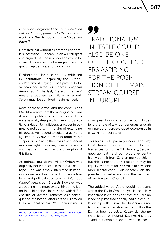*to networks organized and controlled from outside Europe, primarily to the Soros networks and the Democrats of the US behind them."*<sup>8</sup>

He stated that without a common economic success the European Union will fall apart and argued that the next decade would be a period of dangerous challenges: mass migration, epidemics, and pandemics.

Furthermore, he also sharply criticized EU institutions – especially the European Parliament, saying it has proved to be *"a dead-end street as regards European democracy."*9 His last, "ceterum censeo" message touched upon EU enlargement: Serbia must be admitted, he demanded.

Most of these views (and the conclusions PM Orbán drew from them) originated from domestic political considerations. They were basically designed to give a Eurosceptic foundation to his illiberal practices in domestic politics, with the aim of extending his power. He needed to collect arguments against an *enemy* in order to mobilize his supporters, claiming there was a permanent *freedom fight* underway against Brussels and that he himself was the champion of this fight.

As pointed out above, Viktor Orbán was originally not interested in the future of Europe – he was simply interested in keeping power and building in Hungary a firm legal and political structure, his infamous *illiberal democracy*. Brussels, however, was a troubling and more or less hindering factor in building the illiberal state, with different rule-of-law requirements. As a consequence, the headquarters of the EU proved to be an ideal *piñata*. PM Orbán's vision is 99 TRADITIONALISM IN ITSELF COULD ALSO BE ONE OF THE CONTEND-ERS ASPIRING FOR THE POSI-TION OF THE MAIN-STREAM COURSE IN EUROPE

a European Union not strong enough to defend the rule of law, but generous enough to finance underdeveloped economies in eastern member states.

This leads us to partially understand why Orbán has so strongly emphasized the Serbian accession to the EU. Hungary, Serbia's geographical neighbor, would evidently highly benefit from Serbian membership – but this is not the only reason. It may be equally important for PM Orbán to have one more illiberal leader – Aleksandar Vucic, the president of Serbia – among the members of the European Council.

The added value Vucic would represent within the EU in Orbán's eyes is especially important if we consider that the Serbian leadership has traditionally had a close relationship with Russia. The Hungarian Prime Minister's most reliable partner within the EU has been Jaroslaw Kaczynski, the *de facto* leader of Poland. Kaczynski shares – and in a certain respect even exceeds –

<sup>8</sup> [https://primeminister.hu/vikstories/viktor-orbans-add](https://primeminister.hu/vikstories/viktor-orbans-address-conference-entitled-free-thirty-years)[ress-conference-entitled-free-thirty-years](https://primeminister.hu/vikstories/viktor-orbans-address-conference-entitled-free-thirty-years)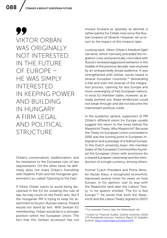99 VIKTOR ORBÁN WAS ORIGINALLY NOT INTERESTED IN THE FUTURE OF EUROPE – HE WAS SIMPLY INTERESTED IN KEEPING POWER AND BUILDING IN HUNGARY A FIRM LEGAL AND POLITICAL STRUCTURE

Orbán's conservatism, traditionalism, and his resistance to the European rule-of-law requirements. On the other hand, he definitely does not share Orbán's friendship with Vladimir Putin and the Hungarian government's so-called 'Opening to the East'.

If Viktor Orbán wants to avoid being disciplined in the EU for violating the rule of law, he may count on the Polish veto. But if the Hungarian PM is trying to keep his attachment to his pro-Russian stance, Poland would not stand by him. With Serbian EU membership, Orbán would be in a stronger position within the European Union. The fact that this Serbian accession has not moved forward as speedily as desired is rather painful for Orbán now since the Russian invasion of Ukraine. However, let us return to the impact of this invasion later.

Looking back, Viktor Orbán's *freedom fight* narrative, which narrowly preceded the migration crisis and practically coincided with Russia's renewed aggressive behavior in the middle of the previous decade, was received by an unexpectedly broad audience. It was strengthened with similar voices heard in several European countries,<sup>10</sup> demanding a halt and even the reversal of the integration process, claiming for less Europe and more sovereignty of free European nations. In most EU member states, however, as already pointed out, these tendencies could not break through and did not become the mainstream political *credo*.

In the academic sphere, supporters of PM Orbán's different vision for Europe usually suggest the return to the times before the Maastricht Treaty. Why Maastricht? Because the Treaty on European Union concluded in 1992 was the turning point in European integration and a presage of a federal Europe. In this Dutch university town, the member states of the European Communities founded the European Union with provisions for a shared European citizenship and the introduction of a single currency, among others.

Former Czech President and Prime Minister Vaclay Klaus, a recognized economist, expressed several times his views on how Europe, in his opinion, lost its way with the Maastricht (and later the Lisbon) Treaty. In his speech entitled "The EU Is Not Europe", $11$  he wrote that both the Maastricht and the Lisbon Treaty (signed in 2007)

<sup>10</sup> For example, France, Italy, the Netherlands, etc.

<sup>&</sup>lt;sup>11</sup> Center for Financial Studies, Goethe University (2019) *CFS Presidential Lectures*, Frankfurt, March 12. Available [online]:<https://www.klaus.cz/clanky/4374>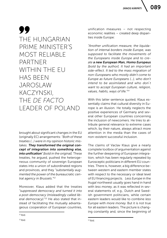089

# 99 THE HUNGARIAN PRIME MINISTER'S MOST RELIABLE PARTNER WITHIN THE EU HAS BEEN JAROSLAW KACZYNSKI, THE *DE FACTO* LEADER OF POLAND

brought about significant changes in the EU (originally EC) arrangements: *"Both of these treaties (…) were in my opinion historic mistakes. They transformed the original concept of integration into something else, into unification" [bold in the original].* These treaties, he argued, pushed the heterogeneous community of sovereign European states into a union of subordinated regions and provinces, and they *"substantially augmented the power of the bureaucratic central agency in Brussels."*<sup>12</sup>

Moreover, Klaus added that the treaties *"suppressed democracy and turned it into a post-democracy (misleadingly called liberal democracy)."*13 He also stated that instead of facilitating the mutually advantageous cooperation of European countries, unification measures – not respecting economic realities – created deep disparities inside Europe:

*"Another unification measure, the liquidation of internal borders inside Europe, was supposed to facilitate the movements of the Europeans inside Europe and to create a new European Man, Homo Europeus [bold by the author]. It had an important side-effect. It led to the mass migration of non-Europeans who mostly didn't come to Europe as future Europeans (…), who don't intend to be assimilated and who don´t want to accept European culture, religion, values, habits, ways of life."*<sup>14</sup>

With this latter sentence quoted, Klaus essentially claims that cultural diversity in Europe is an illusion. He totally neglects the positive experiences of Germany and several other European countries concerning the inclusion of newcomers. He tries to attribute general relevance to extreme cases which, by their nature, always attract more attention in the media than the cases of non-existent successful inclusion.

The claims of Vaclav Klaus give a nearly complete toolbox of argumentation against the further deepening of European integration, which has been regularly repeated by Eurosceptic politicians in different EU countries. There is, however, a big difference between western and eastern member states with respect to the necessary or ideal level of EU financing projects. *Less Europe* in the *frugal* northwest usually goes hand in hand with *less money*, as it was reflected in several statements of, e.g., Dutch and Swedish government politicians, while certain eastern leaders would like to combine *less Europe* with *more money*. But it is not true for all eastern leaders. The picture is changing constantly and, since the beginning of

 $12$  Ibid.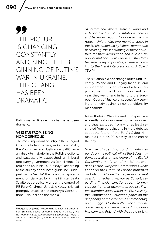## 99 THE PICTURE IS CHANGING CONSTANTLY AND, SINCE THE BE-GINNING OF PUTIN'S WAR IN UKRAINE, THIS CHANGE HAS BEEN DRAMATIC

Putin's war in Ukraine, this change has been dramatic.

## V4 IS FAR FROM BEING **HOMOGENEOUS**

The most important country in the Visegrad Group is Poland where, in October 2015, the Polish Law and Justice Party (PiS) won an absolute majority in the Polish elections, and successfully established an illiberal one-party government. As Daniel Hegedűs reminded us in his  $2018$  essay,<sup>15</sup> according to the already announced guideline "Budapest on the Vistula", the new Polish government, officially led by Prime Minister Beata Szydlo but practically under the control of PiS Party Chairman Jaroslaw Kaczynski, had promptly attacked the country's Constitutional Tribunal and the media.

*"It introduced illiberal state-building and a deconstruction of constitutional checks and balances second to none in the European Union. With two member states in the EU characterized by illiberal democratic backsliding, the sanctioning of these countries for their democratic and rule of law non-compliance with European standards became nearly impossible, at least according to the literal interpretation of Article 7 TEU."*<sup>16</sup>

The situation did not change much until recently. Poland and Hungary faced several infringement procedures and rule of law procedures in the EU institutions, and, last year, they went hand in hand to the European Court of Justice unsuccessfully seeking a remedy against a new conditionality mechanism.

Nevertheless, Warsaw and Budapest are evidently not considered to be outsiders and thus excluded from – or at least restricted from participating in – the debates about the future of the EU. As Gabor Halmai puts it in his 2018 essay, at the end of the day,

*"the use of spending conditionality depends on the political will of the EU institutions, as well as on the future of the EU. (…) Concerning the future of the EU, the scenarios of the European Commission's White Paper on the Future of Europe published on 1 March 2017 neither regarding general oversight mechanisms, nor particularly regarding financial sanctions seem to provide institutional guarantees against illiberal member states within the EU. Similarly, the Commission's Reflection paper on the deepening of the economic and monetary union suggests to strengthen the Eurozone governance, and leave the rest, including Hungary and Poland with their rule of law,* 

<sup>15</sup> Hegedüs D. (2018) "Responding to Illiberal Democracies' Shrinking Space for Human Rights in the EU", [in]: *Will Human Rights Survive Illiberal Democracy?*, Muis A. and L. van Troost (eds), Amnesty International Netherlands.

<sup>16</sup> Ibid., p. 58.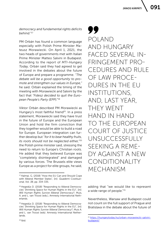#### *democracy and fundamental rights deficits behind."*<sup>17</sup>

PM Orbán has found a common language especially with Polish Prime Minister Mateusz Morawiecki. On April 1, 2021, the two heads of governments met with Italian Prime Minister Matteo Salvini in Budapest. According to the report of *MTI-Hungary Today*, Orbán said they had agreed to get involved in the debates about the future of Europe and prepare a programme. *"The debate will be a good opportunity to promote and strengthen our values in Europe,"* he said. Orbán explained the timing of the meeting with Morawiecki and Salvini by the fact that *"Fidesz decided to quit the European People's Party (EPP)."*18

Viktor Orbán described PM Morawiecki as Hungary's most faithful friend<sup>19</sup>. In a press statement, Morawiecki said they have trust in the future of Europe and the European Union and hold the firm conviction that they together would be able to build a road for Europe. European integration can further develop but *"for it to bear healthy fruits, its roots should not be neglected either,"*<sup>20</sup> the Polish prime minister said, stressing the need to return to Europe's Christian roots. He added that they believed Europe was "completely disintegrated" and damaged by various forces. The Brussels elite views Europe as a project for elite groups, he said,

77 POLAND AND HUNGARY FACED SEVERAL IN-FRINGEMENT PRO-CEDURES AND RULE OF LAW PROCE-DURES IN THE EU INSTITUTIONS, AND, LAST YEAR, THEY WENT HAND IN HAND TO THE EUROPEAN COURT OF JUSTICE UNSUCCESSFULLY SEEKING A REME-DY AGAINST A NEW CONDITIONALITY MECHANISM

adding that "we would like to represent a wide range of people."<sup>21</sup>

Nevertheless, Warsaw and Budapest could not count on the full support of Prague and Bratislava in the debate about the future of

<sup>&</sup>lt;sup>17</sup> Halmai, G. (2018) "How the EU Can and Should Cope with Illiberal Member States", [in]: *Quaderni Costituzional, Vol. 38*, pp. 334-335.

<sup>18</sup> Hegedüs D. (2018) "Responding to Illiberal Democracies' Shrinking Space for Human Rights in the EU", [in]: *Will Human Rights Survive Illiberal Democracy?*, Muis, A. and L. van Troost (eds.), Amnesty International Netherlands.

<sup>19</sup> Hegedüs D. (2018) "Responding to Illiberal Democracies' Shrinking Space for Human Rights in the EU", [in]: *Will Human Rights Survive Illiberal Democracy?*, Muis A. and L. van Troost (eds). Amnesty International Netherlands.

<sup>21</sup> [https://hungarytoday.hu/orban-morawiecki-salvini](https://hungarytoday.hu/orban-morawiecki-salvini-budapest/)[budapest/](https://hungarytoday.hu/orban-morawiecki-salvini-budapest/)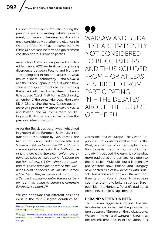Europe. In the Czech Republic, during the previous years of Andrej Babiš's government, Eurosceptic tendencies strengthened considerably but after the elections in October 2021, Petr Fiala became the new Prime Minister and he formed a government coalition of pro-European parties.

An article of *Politico*'s European edition dated January 7, 2022 wrote about the growing divergence between Poland and Hungary – dropping fast in most measures of what makes a liberal democracy – and Slovakia and the Czech Republic, both of which have seen recent government changes, sending them back into the EU mainstream. The article quoted Czech MEP Tomas Zdechovsky, a member of the center-right coalition party KDU-CSL, saying the new Czech government will prioritize relations with Slovakia and Poland, and will focus more on dialogue with Austria and Germany than the previous administration<sup>22</sup>.

As for the Slovak position, it was highlighted in a report of the European University Institute about the lecture by Ivan Korcok, the Minister of Foreign and European Affairs of Slovakia, held on November 22, 2021. Korcok was quite clear, saying that *"without rule of law there is no European Union, everything we have achieved so far is based on the Rule of Law. [...] One should not question this basic principle on which the European Union has been built." Minister Korcok added "from the perspective of my country, a Central European country, there is no better tool than trying to agree on common European solutions."*<sup>23</sup>

We can conclude that different positions exist in the four Visegrad countries to99 WARSAW AND BUDA-PEST ARE EVIDENTLY NOT CONSIDERED TO BE OUTSIDERS AND THUS XCLUDED FROM – OR AT LEAST RESTRICTED FROM PARTICIPATING IN – THE DEBATES ABOUT THE FUTURE OF THE EU

wards the idea of Europe. The Czech Republic often identifies itself as part of the West, irrespective of its geographic location. Slovakia, the only country which has already introduced the euro, is somewhat more traditional and perhaps less open to the so-called 'Multikulti', but it is definitely pro-Western now. Poland and Hungary have heated rule of law debates with Brussels, but Warsaw's strong anti-Kremlin sentiments bring Poland closer to European countries that try to build a stronger European identity. Hungary, Poland's traditional friend, nevertheless, lags behind.

#### UKRAINE: A FRIEND IN NEED

The Russian aggression against Ukraine has dramatically changed the possible future posture of Europe on the global scene. We are in the midst of warfare in Ukraine at the present time and, in this situation, it is

<sup>&</sup>lt;sup>22</sup> [https://www.politico.eu/article/central-europe-divid](https://www.politico.eu/article/central-europe-divided-visegrad-v4-alliance/)[ed-visegrad-v4-alliance/](https://www.politico.eu/article/central-europe-divided-visegrad-v4-alliance/)

<sup>23</sup> [https://www.eui.eu/news-hub?id=slovakian-minister](https://www.eui.eu/news-hub?id=slovakian-minister-ivan-korcok-joins-the-conversation-on-the-future-of-europe)[ivan-korcok-joins-the-conversation-on-the-future-of](https://www.eui.eu/news-hub?id=slovakian-minister-ivan-korcok-joins-the-conversation-on-the-future-of-europe)[europe](https://www.eui.eu/news-hub?id=slovakian-minister-ivan-korcok-joins-the-conversation-on-the-future-of-europe)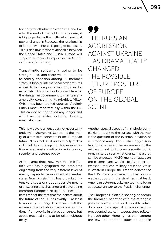too early to tell what the world will look like after the end of the fights. In any case, it is highly probable that without an eventual power change in Moscow, the relationship of Europe with Russia is going to be hostile. This is also true for the relationship between the United States and Russia. Europe will supposedly regain its importance in American strategic thinking.

Transatlantic solidarity is going to be strengthened, and there will be attempts to solidify cohesion among EU member states. If bipolar international order returns at least to the European continent, it will be extremely difficult – if not impossible – for the Hungarian government to maintain any ambiguity concerning its priorities. Viktor Orbán has been looked upon as Vladimir Putin's most important ally within the EU. This cannot be continued any longer and all EU member states, including Hungary, must take sides.

This new development does not necessarily undermine the very existence and the rivalry of alternative concepts in the European future. Nevertheless, it undoubtedly makes it difficult to argue against deeper integration – or at least coordination – in foreign, security, and defense policy.

At the same time, however, Vladimir Putin's war has highlighted the problems originating from the very different level of energy dependence in individual member states from Russia. This has provoked intensive discussions about possible means of answering this challenge and developing common European resilience. These debates reflect the fact that the debate about the future of the EU has swiftly – at least temporarily – changed its character. At the moment, it is not about theoretical institutional frameworks in a broader sense, but about practical steps to be taken without delay.

99 THE RUSSIAN AGGRESSION AGAINST UKRAINE HAS DRAMATICALIY CHANGED THE POSSIBLE FUTURE POSTURE OF EUROPE ON THE GLOBAL SCENE

Another special aspect of this whole complexity brought to the surface with the war is the question of the eventual creation of a European army. The Russian aggression has brutally raised the awareness of the military threat to Europe's security, but it remains to be seen what countermeasures can be expected. NATO member states on the eastern flank would clearly prefer increased American military presence, while in Western Europe the French concept of the EU's strategic sovereignty has considerable support. In the short term, at least, American deterrent build-up seems to be an adequate answer to the Russian challenge.

The European Union did not only condemn the Kremlin's behavior with the strongest possible terms, but also decided to introduce sanctions against Russia on an unprecedented scale, in several steps following each other. Hungary has been among the few EU member states to oppose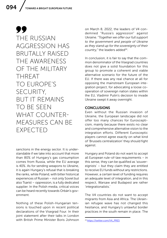99 THE RUSSIAN AGGRESSION HAS BRUTALLY RAISED THE AWARENESS OF THE MILITARY THREAT TO EUROPE'S SECURITY, BUT IT REMAINS TO BE SEEN WHAT COUNTER-MEASURES CAN BE EXPECTED

sanctions in the energy sector. It is understandable if we take into account that more than 80% of Hungary's gas consumption comes from Russia, while the EU average is 40%. As for sending weapons to Ukraine, it is again Hungary's refusal that is breaking the ranks, while Poland, with bitter historical experiences of Russian – not only Soviet but also Tsarist – oppression, is a fully dedicated supplier. In the Polish media, critical voices can be heard recently towards Orbán's government.

Nothing of these Polish-Hungarian tensions is touched upon in recent political declarations of the Visegrad Four. In their joint statement after their talks in London with British Prime Minister Boris Johnson

on March 8, 2022, the leaders of V4 condemned "Russia's aggression" against Ukraine. "*Together we offer our full support to the government and people of Ukraine as they stand up for the sovereignty of their*  country," the leaders added<sup>24</sup>.

In conclusion, it is fair to say that the common denominator of the Visegrad countries does not give a solid foundation for this group to promote a coherent and viable alternative scenario for the future of the EU. If there was any real chance at all for opposing the mainstream European integration project, for advocating a loose cooperation of sovereign nation states within the EU, Vladimir Putin's decision to invade Ukraine swept it away overnight.

#### CONCLUSIONS

Even without the Russian invasion of Ukraine, the European landscape did not offer too many chances for Euroscepticism, mainly because there exists no clear and comprehensive alternative vision to the integration efforts. Different Eurosceptic players cannot agree exactly on what kind of 'Brussels centralization' they should fight against.

Hungary and Poland do not want to accept all European rule-of-law requirements – in this sense, they can be qualified as 'souvereignists' – but they claim they are entitled to receive EU funds without any restrictions. However, a certain level of funding requires an adequate level of integration, and in this respect, Warsaw and Budapest are rather 'integrationalists.'

The V4 countries do not want to accept migrants from Asia and Africa. The Ukrainian refugee wave has not changed this hesitance, and Hungary's unlawful border practices in the south remain in place. The

<sup>24</sup> [https://twitter.com/V4\\_PRES](https://twitter.com/V4_PRES)